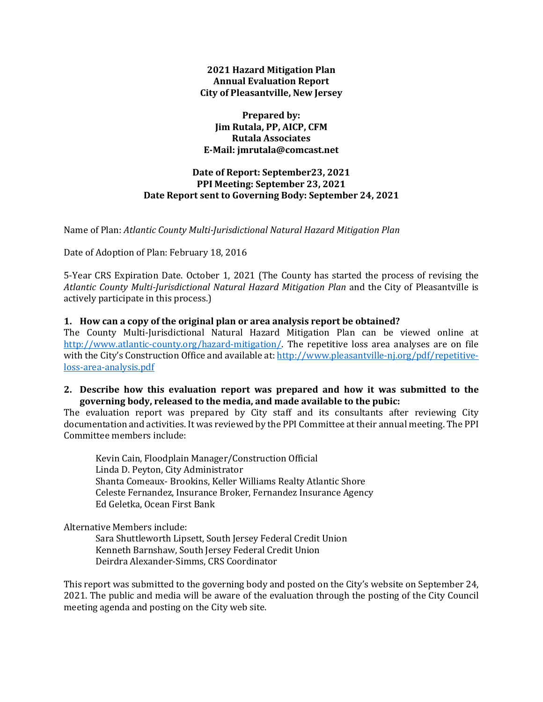## **2021 Hazard Mitigation Plan Annual Evaluation Report City of Pleasantville, New Jersey**

### **Prepared by: Jim Rutala, PP, AICP, CFM Rutala Associates E-Mail: jmrutala@comcast.net**

# **Date of Report: September23, 2021 PPI Meeting: September 23, 2021 Date Report sent to Governing Body: September 24, 2021**

Name of Plan: *Atlantic County Multi-Jurisdictional Natural Hazard Mitigation Plan*

Date of Adoption of Plan: February 18, 2016

5-Year CRS Expiration Date. October 1, 2021 (The County has started the process of revising the *Atlantic County Multi-Jurisdictional Natural Hazard Mitigation Plan* and the City of Pleasantville is actively participate in this process.)

#### **1. How can a copy of the original plan or area analysis report be obtained?**

The County Multi-Jurisdictional Natural Hazard Mitigation Plan can be viewed online at [http://www.atlantic-county.org/hazard-mitigation/.](http://www.atlantic-county.org/hazard-mitigation/) The repetitive loss area analyses are on file with the City's Construction Office and available at[: http://www.pleasantville-nj.org/pdf/repetitive](http://www.pleasantville-nj.org/pdf/repetitive-loss-area-analysis.pdf)[loss-area-analysis.pdf](http://www.pleasantville-nj.org/pdf/repetitive-loss-area-analysis.pdf)

## **2. Describe how this evaluation report was prepared and how it was submitted to the governing body, released to the media, and made available to the pubic:**

The evaluation report was prepared by City staff and its consultants after reviewing City documentation and activities. It was reviewed by the PPI Committee at their annual meeting. The PPI Committee members include:

Kevin Cain, Floodplain Manager/Construction Official Linda D. Peyton, City Administrator Shanta Comeaux- Brookins, Keller Williams Realty Atlantic Shore Celeste Fernandez, Insurance Broker, Fernandez Insurance Agency Ed Geletka, Ocean First Bank

Alternative Members include:

Sara Shuttleworth Lipsett, South Jersey Federal Credit Union Kenneth Barnshaw, South Jersey Federal Credit Union Deirdra Alexander-Simms, CRS Coordinator

This report was submitted to the governing body and posted on the City's website on September 24, 2021. The public and media will be aware of the evaluation through the posting of the City Council meeting agenda and posting on the City web site.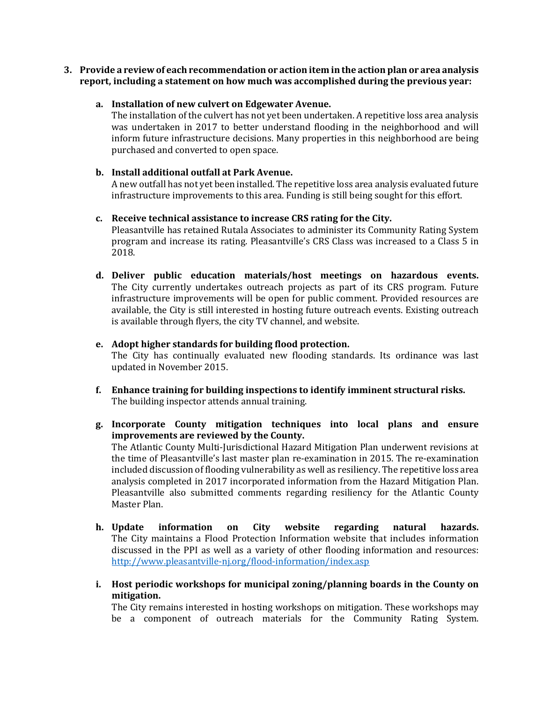**3. Provide a review of each recommendation or action item in the action plan or area analysis report, including a statement on how much was accomplished during the previous year:**

## **a. Installation of new culvert on Edgewater Avenue.**

The installation of the culvert has not yet been undertaken. A repetitive loss area analysis was undertaken in 2017 to better understand flooding in the neighborhood and will inform future infrastructure decisions. Many properties in this neighborhood are being purchased and converted to open space.

### **b. Install additional outfall at Park Avenue.**

A new outfall has not yet been installed. The repetitive loss area analysis evaluated future infrastructure improvements to this area. Funding is still being sought for this effort.

## **c. Receive technical assistance to increase CRS rating for the City.**

Pleasantville has retained Rutala Associates to administer its Community Rating System program and increase its rating. Pleasantville's CRS Class was increased to a Class 5 in 2018.

**d. Deliver public education materials/host meetings on hazardous events.** The City currently undertakes outreach projects as part of its CRS program. Future infrastructure improvements will be open for public comment. Provided resources are available, the City is still interested in hosting future outreach events. Existing outreach is available through flyers, the city TV channel, and website.

## **e. Adopt higher standards for building flood protection.**

The City has continually evaluated new flooding standards. Its ordinance was last updated in November 2015.

- **f. Enhance training for building inspections to identify imminent structural risks.**  The building inspector attends annual training.
- **g. Incorporate County mitigation techniques into local plans and ensure improvements are reviewed by the County.** The Atlantic County Multi-Jurisdictional Hazard Mitigation Plan underwent revisions at the time of Pleasantville's last master plan re-examination in 2015. The re-examination included discussion of flooding vulnerability as well as resiliency. The repetitive loss area analysis completed in 2017 incorporated information from the Hazard Mitigation Plan. Pleasantville also submitted comments regarding resiliency for the Atlantic County Master Plan.
- **h. Update information on City website regarding natural hazards.** The City maintains a Flood Protection Information website that includes information discussed in the PPI as well as a variety of other flooding information and resources: <http://www.pleasantville-nj.org/flood-information/index.asp>
- **i. Host periodic workshops for municipal zoning/planning boards in the County on mitigation.**

The City remains interested in hosting workshops on mitigation. These workshops may be a component of outreach materials for the Community Rating System.